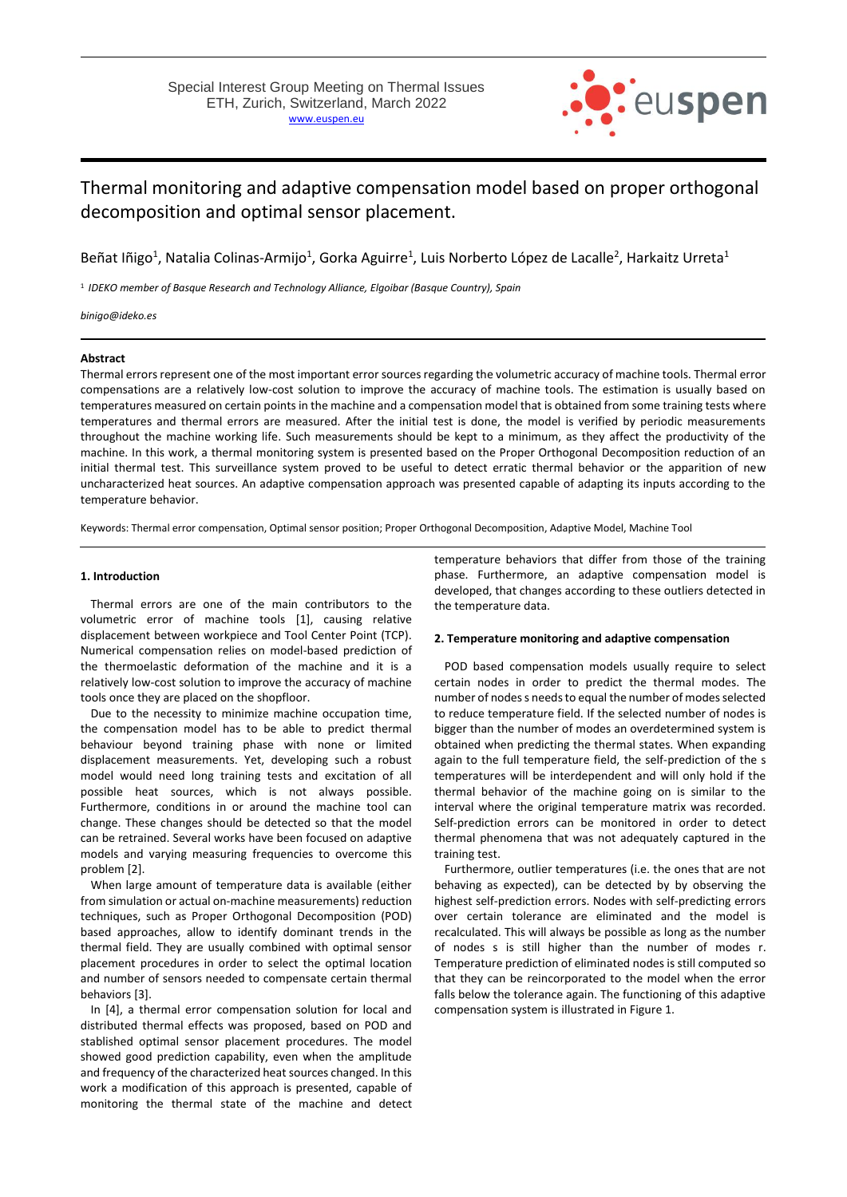

# Thermal monitoring and adaptive compensation model based on proper orthogonal decomposition and optimal sensor placement.

Beñat Iñigo<sup>1</sup>, Natalia Colinas-Armijo<sup>1</sup>, Gorka Aguirre<sup>1</sup>, Luis Norberto López de Lacalle<sup>2</sup>, Harkaitz Urreta<sup>1</sup>

1 *IDEKO member of Basque Research and Technology Alliance, Elgoibar (Basque Country), Spain*

*binigo@ideko.es*

## **Abstract**

Thermal errors represent one of the most important error sources regarding the volumetric accuracy of machine tools. Thermal error compensations are a relatively low-cost solution to improve the accuracy of machine tools. The estimation is usually based on temperatures measured on certain points in the machine and a compensation model that is obtained from some training tests where temperatures and thermal errors are measured. After the initial test is done, the model is verified by periodic measurements throughout the machine working life. Such measurements should be kept to a minimum, as they affect the productivity of the machine. In this work, a thermal monitoring system is presented based on the Proper Orthogonal Decomposition reduction of an initial thermal test. This surveillance system proved to be useful to detect erratic thermal behavior or the apparition of new uncharacterized heat sources. An adaptive compensation approach was presented capable of adapting its inputs according to the temperature behavior.

Keywords: Thermal error compensation, Optimal sensor position; Proper Orthogonal Decomposition, Adaptive Model, Machine Tool

#### **1. Introduction**

Thermal errors are one of the main contributors to the volumetric error of machine tools [1], causing relative displacement between workpiece and Tool Center Point (TCP). Numerical compensation relies on model-based prediction of the thermoelastic deformation of the machine and it is a relatively low-cost solution to improve the accuracy of machine tools once they are placed on the shopfloor.

Due to the necessity to minimize machine occupation time, the compensation model has to be able to predict thermal behaviour beyond training phase with none or limited displacement measurements. Yet, developing such a robust model would need long training tests and excitation of all possible heat sources, which is not always possible. Furthermore, conditions in or around the machine tool can change. These changes should be detected so that the model can be retrained. Several works have been focused on adaptive models and varying measuring frequencies to overcome this problem [2].

When large amount of temperature data is available (either from simulation or actual on-machine measurements) reduction techniques, such as Proper Orthogonal Decomposition (POD) based approaches, allow to identify dominant trends in the thermal field. They are usually combined with optimal sensor placement procedures in order to select the optimal location and number of sensors needed to compensate certain thermal behaviors [3].

In [4], a thermal error compensation solution for local and distributed thermal effects was proposed, based on POD and stablished optimal sensor placement procedures. The model showed good prediction capability, even when the amplitude and frequency of the characterized heat sources changed. In this work a modification of this approach is presented, capable of monitoring the thermal state of the machine and detect temperature behaviors that differ from those of the training phase. Furthermore, an adaptive compensation model is developed, that changes according to these outliers detected in the temperature data.

#### **2. Temperature monitoring and adaptive compensation**

POD based compensation models usually require to select certain nodes in order to predict the thermal modes. The number of nodes s needs to equal the number of modes selected to reduce temperature field. If the selected number of nodes is bigger than the number of modes an overdetermined system is obtained when predicting the thermal states. When expanding again to the full temperature field, the self-prediction of the s temperatures will be interdependent and will only hold if the thermal behavior of the machine going on is similar to the interval where the original temperature matrix was recorded. Self-prediction errors can be monitored in order to detect thermal phenomena that was not adequately captured in the training test.

Furthermore, outlier temperatures (i.e. the ones that are not behaving as expected), can be detected by by observing the highest self-prediction errors. Nodes with self-predicting errors over certain tolerance are eliminated and the model is recalculated. This will always be possible as long as the number of nodes s is still higher than the number of modes r. Temperature prediction of eliminated nodes is still computed so that they can be reincorporated to the model when the error falls below the tolerance again. The functioning of this adaptive compensation system is illustrated in Figure 1.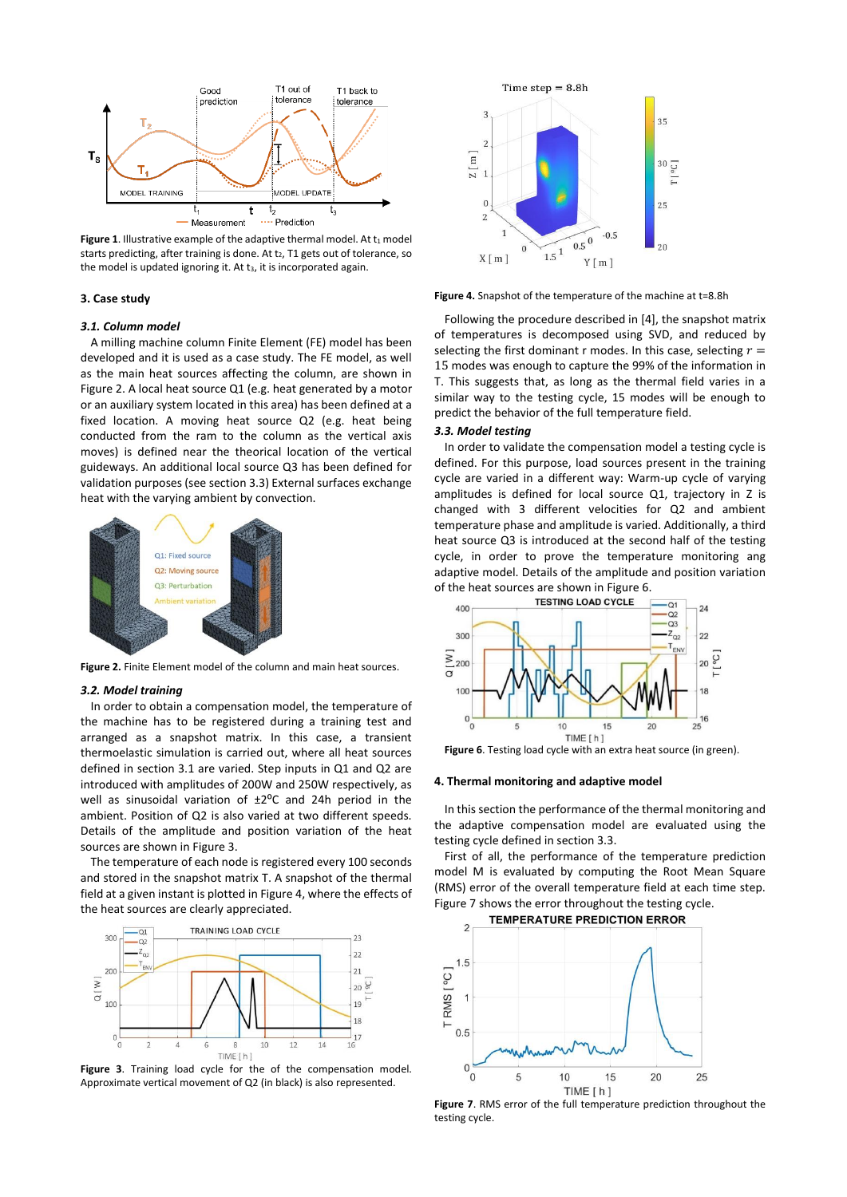

Figure 1. Illustrative example of the adaptive thermal model. At t1 model starts predicting, after training is done. At t2, T1 gets out of tolerance, so the model is updated ignoring it. At t<sub>3</sub>, it is incorporated again.

### **3. Case study**

#### *3.1. Column model*

A milling machine column Finite Element (FE) model has been developed and it is used as a case study. The FE model, as well as the main heat sources affecting the column, are shown in [Figure 2.](#page-1-0) A local heat source Q1 (e.g. heat generated by a motor or an auxiliary system located in this area) has been defined at a fixed location. A moving heat source Q2 (e.g. heat being conducted from the ram to the column as the vertical axis moves) is defined near the theorical location of the vertical guideways. An additional local source Q3 has been defined for validation purposes (see section 3.3) External surfaces exchange heat with the varying ambient by convection.



**Figure 2.** Finite Element model of the column and main heat sources.

## <span id="page-1-0"></span>*3.2. Model training*

In order to obtain a compensation model, the temperature of the machine has to be registered during a training test and arranged as a snapshot matrix. In this case, a transient thermoelastic simulation is carried out, where all heat sources defined in section 3.1 are varied. Step inputs in Q1 and Q2 are introduced with amplitudes of 200W and 250W respectively, as well as sinusoidal variation of  $\pm 2^{\circ}$ C and 24h period in the ambient. Position of Q2 is also varied at two different speeds. Details of the amplitude and position variation of the heat sources are shown i[n Figure 3.](#page-1-1)

The temperature of each node is registered every 100 seconds and stored in the snapshot matrix T. A snapshot of the thermal field at a given instant is plotted i[n Figure 4,](#page-1-2) where the effects of the heat sources are clearly appreciated.



<span id="page-1-1"></span>Figure 3. Training load cycle for the of the compensation model. Approximate vertical movement of Q2 (in black) is also represented.



<span id="page-1-2"></span>**Figure 4.** Snapshot of the temperature of the machine at t=8.8h

Following the procedure described in [4], the snapshot matrix of temperatures is decomposed using SVD, and reduced by selecting the first dominant r modes. In this case, selecting  $r =$ 15 modes was enough to capture the 99% of the information in T. This suggests that, as long as the thermal field varies in a similar way to the testing cycle, 15 modes will be enough to predict the behavior of the full temperature field.

## *3.3. Model testing*

In order to validate the compensation model a testing cycle is defined. For this purpose, load sources present in the training cycle are varied in a different way: Warm-up cycle of varying amplitudes is defined for local source Q1, trajectory in Z is changed with 3 different velocities for Q2 and ambient temperature phase and amplitude is varied. Additionally, a third heat source Q3 is introduced at the second half of the testing cycle, in order to prove the temperature monitoring ang adaptive model. Details of the amplitude and position variation of the heat sources are shown i[n Figure 6.](#page-1-3)<br>TESTING LOAD CYCLE



<span id="page-1-3"></span>**Figure 6**. Testing load cycle with an extra heat source (in green).

#### **4. Thermal monitoring and adaptive model**

In this section the performance of the thermal monitoring and the adaptive compensation model are evaluated using the testing cycle defined in section 3.3.

First of all, the performance of the temperature prediction model M is evaluated by computing the Root Mean Square (RMS) error of the overall temperature field at each time step. [Figure 7](#page-1-4) shows the error throughout the testing cycle.



<span id="page-1-4"></span>**Figure 7**. RMS error of the full temperature prediction throughout the testing cycle.